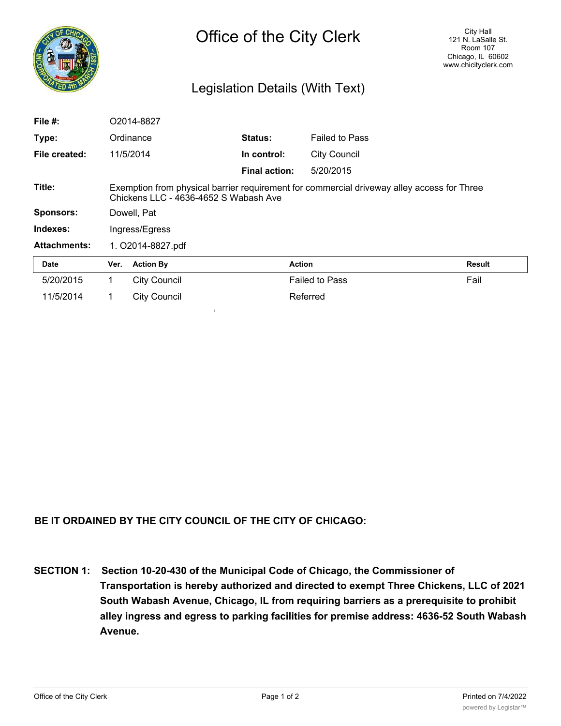

## Legislation Details (With Text)

| File $#$ :          | O2014-8827                                                                                                                          |                     |                      |                       |               |
|---------------------|-------------------------------------------------------------------------------------------------------------------------------------|---------------------|----------------------|-----------------------|---------------|
| Type:               |                                                                                                                                     | Ordinance           | <b>Status:</b>       | <b>Failed to Pass</b> |               |
| File created:       |                                                                                                                                     | 11/5/2014           | In control:          | <b>City Council</b>   |               |
|                     |                                                                                                                                     |                     | <b>Final action:</b> | 5/20/2015             |               |
| Title:              | Exemption from physical barrier requirement for commercial driveway alley access for Three<br>Chickens LLC - 4636-4652 S Wabash Ave |                     |                      |                       |               |
| <b>Sponsors:</b>    | Dowell, Pat                                                                                                                         |                     |                      |                       |               |
| Indexes:            | Ingress/Egress                                                                                                                      |                     |                      |                       |               |
| <b>Attachments:</b> | 1. O2014-8827.pdf                                                                                                                   |                     |                      |                       |               |
| <b>Date</b>         | Ver.                                                                                                                                | <b>Action By</b>    |                      | <b>Action</b>         | <b>Result</b> |
| 5/20/2015           | 1.                                                                                                                                  | <b>City Council</b> |                      | <b>Failed to Pass</b> | Fail          |
| 11/5/2014           |                                                                                                                                     | <b>City Council</b> |                      | Referred              |               |

## **BE IT ORDAINED BY THE CITY COUNCIL OF THE CITY OF CHICAGO:**

**I**

**SECTION 1: Section 10-20-430 of the Municipal Code of Chicago, the Commissioner of Transportation is hereby authorized and directed to exempt Three Chickens, LLC of 2021 South Wabash Avenue, Chicago, IL from requiring barriers as a prerequisite to prohibit alley ingress and egress to parking facilities for premise address: 4636-52 South Wabash Avenue.**